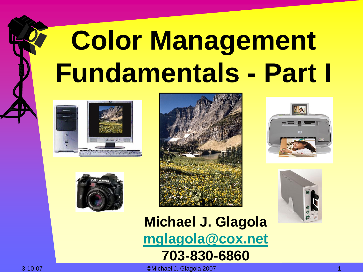# **Color Management Fundamentals - Part I**











**Michael J. Glagola [mglagola@cox.net](mailto:mglagola@cox.net) 703-830-6860**

3-10-07 ©Michael J. Glagola 2007 1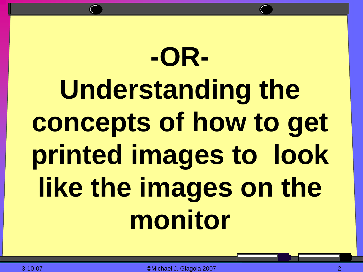# **-OR-Understanding the concepts of how to get printed images to look like the images on the monitor**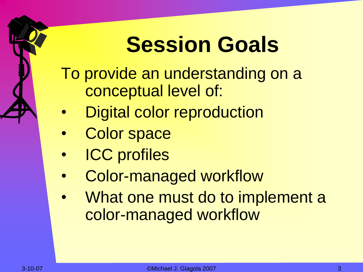## **Session Goals**

- To provide an understanding on a conceptual level of:
- Digital color reproduction
- Color space
- **ICC** profiles
- Color-managed workflow
- What one must do to implement a color-managed workflow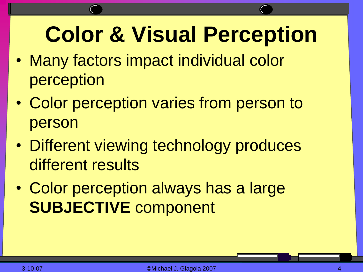### **Color & Visual Perception**

- Many factors impact individual color perception
- Color perception varies from person to person
- Different viewing technology produces different results
- Color perception always has a large **SUBJECTIVE** component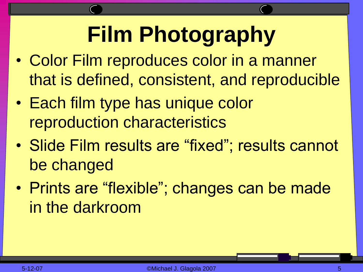# **Film Photography**

- Color Film reproduces color in a manner that is defined, consistent, and reproducible
- Each film type has unique color reproduction characteristics
- Slide Film results are "fixed"; results cannot be changed
- Prints are "flexible"; changes can be made in the darkroom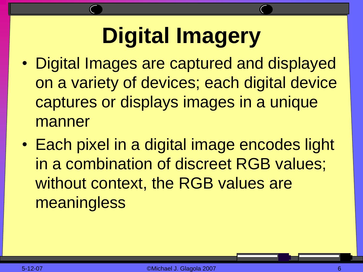# **Digital Imagery**

- Digital Images are captured and displayed on a variety of devices; each digital device captures or displays images in a unique manner
- Each pixel in a digital image encodes light in a combination of discreet RGB values; without context, the RGB values are **meaningless**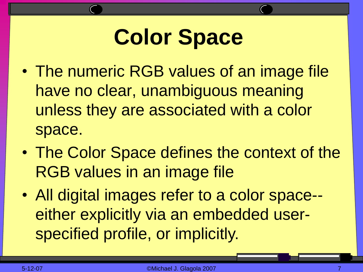# **Color Space**

- The numeric RGB values of an image file have no clear, unambiguous meaning unless they are associated with a color space.
- The Color Space defines the context of the RGB values in an image file
- All digital images refer to a color space- either explicitly via an embedded userspecified profile, or implicitly.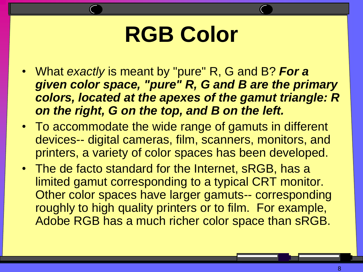#### **RGB Color**

- What *exactly* is meant by "pure" R, G and B? *For a given color space, "pure" R, G and B are the primary colors, located at the apexes of the gamut triangle: R on the right, G on the top, and B on the left.*
- To accommodate the wide range of gamuts in different devices-- digital cameras, film, scanners, monitors, and printers, a variety of color spaces has been developed.
- The de facto standard for the Internet, sRGB, has a limited gamut corresponding to a typical CRT monitor. Other color spaces have larger gamuts-- corresponding roughly to high quality printers or to film. For example, Adobe RGB has a much richer color space than sRGB.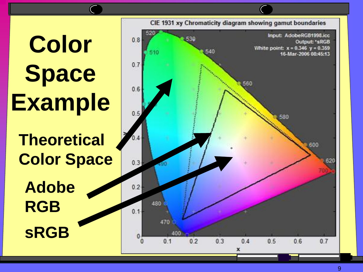# **Color Space Example sRGB Adobe RGB Theoretical Color Space**

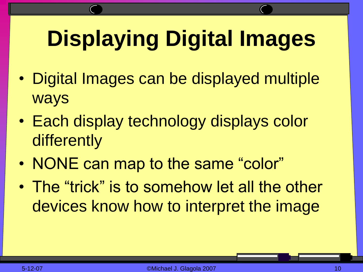# **Displaying Digital Images**

- Digital Images can be displayed multiple ways
- Each display technology displays color differently
- NONE can map to the same "color"
- The "trick" is to somehow let all the other devices know how to interpret the image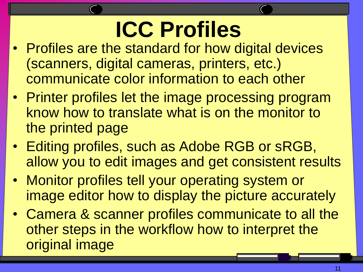# **ICC Profiles**

- Profiles are the standard for how digital devices (scanners, digital cameras, printers, etc.) communicate color information to each other
- Printer profiles let the image processing program know how to translate what is on the monitor to the printed page
- Editing profiles, such as Adobe RGB or sRGB, allow you to edit images and get consistent results
- Monitor profiles tell your operating system or image editor how to display the picture accurately
- Camera & scanner profiles communicate to all the other steps in the workflow how to interpret the original image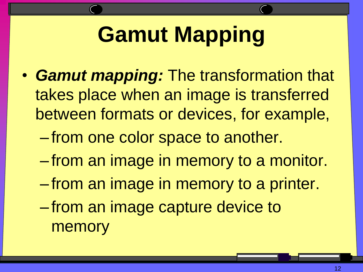## **Gamut Mapping**

- *Gamut mapping:* The transformation that takes place when an image is transferred between formats or devices, for example,
	- from one color space to another.
	- from an image in memory to a monitor.
	- from an image in memory to a printer.
	- from an image capture device to memory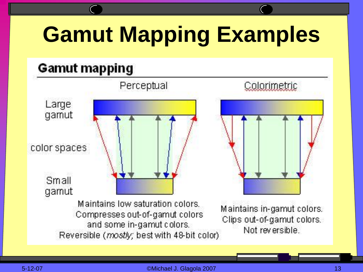# **Gamut Mapping Examples**

#### **Gamut mapping**

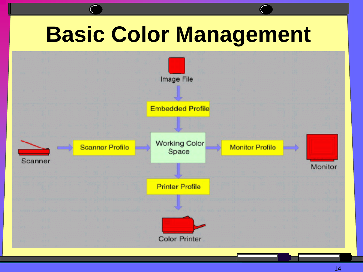### **Basic Color Management**

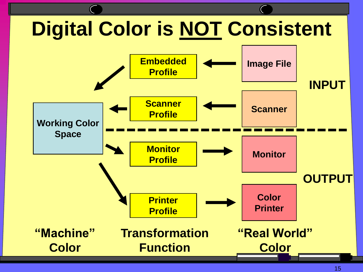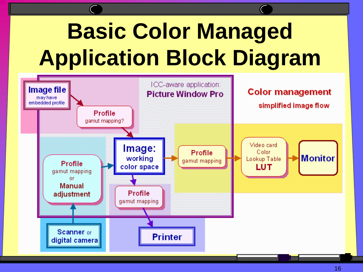# **Basic Color Managed Application Block Diagram**

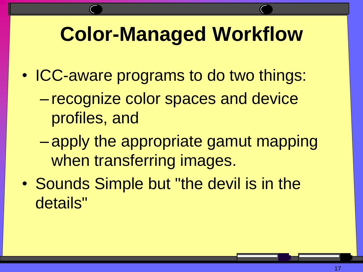#### **Color-Managed Workflow**

- ICC-aware programs to do two things:
	- recognize color spaces and device profiles, and
	- apply the appropriate gamut mapping when transferring images.
- Sounds Simple but "the devil is in the details"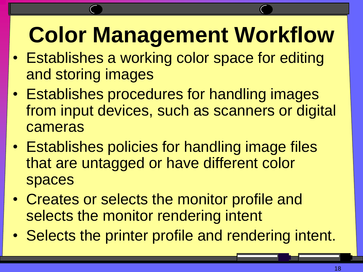# **Color Management Workflow**

- Establishes a working color space for editing and storing images
- Establishes procedures for handling images from input devices, such as scanners or digital cameras
- Establishes policies for handling image files that are untagged or have different color spaces
- Creates or selects the monitor profile and selects the monitor rendering intent
- Selects the printer profile and rendering intent.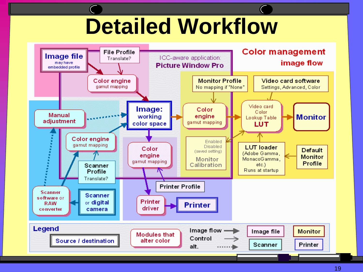#### **Detailed Workflow**

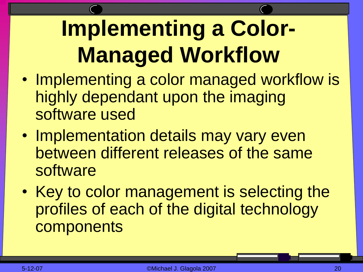# **Implementing a Color-Managed Workflow**

- Implementing a color managed workflow is highly dependant upon the imaging software used
- Implementation details may vary even between different releases of the same software
- Key to color management is selecting the profiles of each of the digital technology components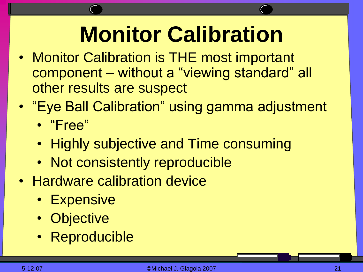### **Monitor Calibration**

- Monitor Calibration is THE most important component – without a "viewing standard" all other results are suspect
- "Eye Ball Calibration" using gamma adjustment • "Free"
	- Highly subjective and Time consuming
	- Not consistently reproducible
- Hardware calibration device
	- Expensive
	- **Objective**
	- Reproducible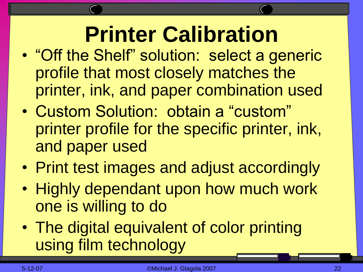### **Printer Calibration**

- "Off the Shelf" solution: select a generic profile that most closely matches the printer, ink, and paper combination used
- Custom Solution: obtain a "custom" printer profile for the specific printer, ink, and paper used
- Print test images and adjust accordingly
- Highly dependant upon how much work one is willing to do
- The digital equivalent of color printing using film technology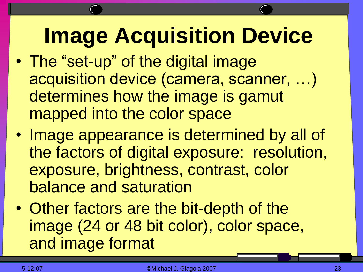### **Image Acquisition Device**

- The "set-up" of the digital image acquisition device (camera, scanner, …) determines how the image is gamut mapped into the color space
- Image appearance is determined by all of the factors of digital exposure: resolution, exposure, brightness, contrast, color balance and saturation
- Other factors are the bit-depth of the image (24 or 48 bit color), color space, and image format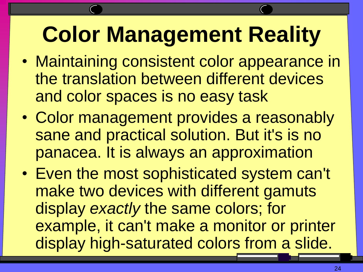#### **Color Management Reality**

- Maintaining consistent color appearance in the translation between different devices and color spaces is no easy task
- Color management provides a reasonably sane and practical solution. But it's is no panacea. It is always an approximation
- Even the most sophisticated system can't make two devices with different gamuts display *exactly* the same colors; for example, it can't make a monitor or printer display high-saturated colors from a slide.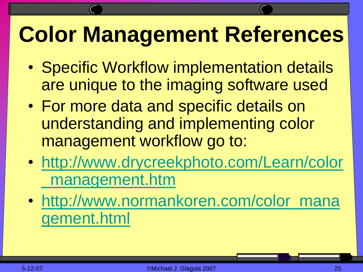#### **Color Management References**

- Specific Workflow implementation details are unique to the imaging software used
- For more data and specific details on understanding and implementing color management workflow go to:
- [http://www.drycreekphoto.com/Learn/color](http://www.drycreekphoto.com/Learn/color_management.htm) [\\_management.htm](http://www.drycreekphoto.com/Learn/color_management.htm)
- [http://www.normankoren.com/color\\_mana](http://www.normankoren.com/color_management.html) [gement.html](http://www.normankoren.com/color_management.html)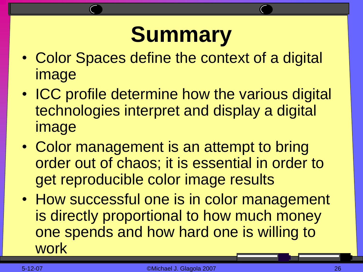#### **Summary**

- Color Spaces define the context of a digital image
- ICC profile determine how the various digital technologies interpret and display a digital image
- Color management is an attempt to bring order out of chaos; it is essential in order to get reproducible color image results
- How successful one is in color management is directly proportional to how much money one spends and how hard one is willing to work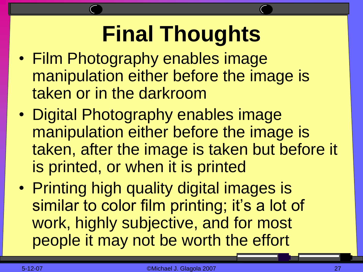#### **Final Thoughts**

- Film Photography enables image manipulation either before the image is taken or in the darkroom
- Digital Photography enables image manipulation either before the image is taken, after the image is taken but before it is printed, or when it is printed
- Printing high quality digital images is similar to color film printing; it's a lot of work, highly subjective, and for most people it may not be worth the effort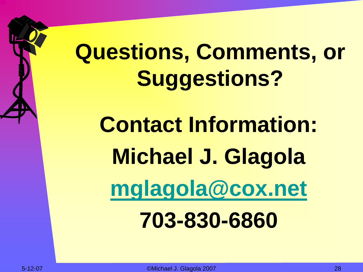# **Questions, Comments, or Suggestions?**

**Contact Information: Michael J. Glagola [mglagola@cox.net](mailto:mglagola@cox.net) 703-830-6860**